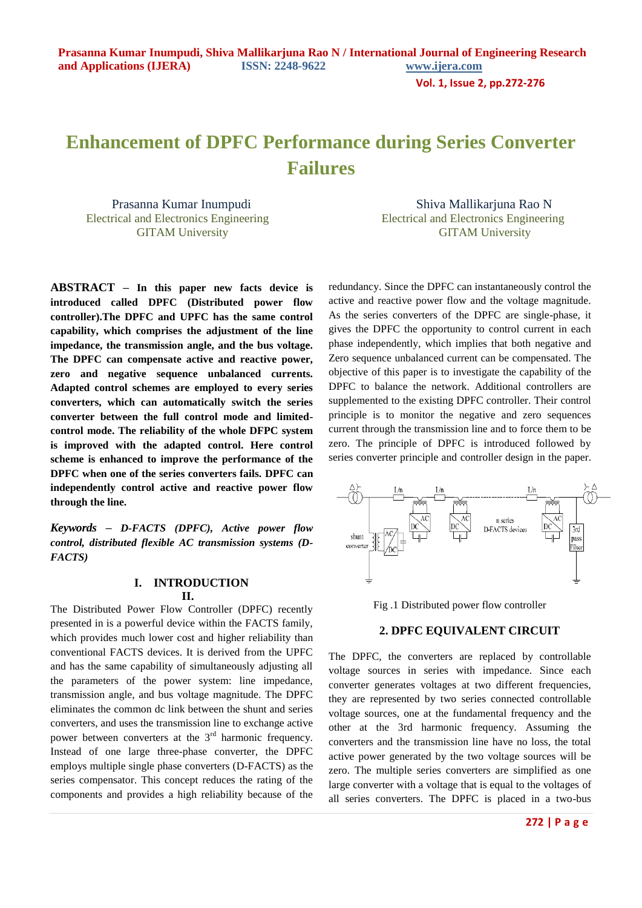**Vol. 1, Issue 2, pp.272-276**

# **Enhancement of DPFC Performance during Series Converter Failures**

**ABSTRACT** *–* **In this paper new facts device is introduced called DPFC (Distributed power flow controller).The DPFC and UPFC has the same control capability, which comprises the adjustment of the line impedance, the transmission angle, and the bus voltage. The DPFC can compensate active and reactive power, zero and negative sequence unbalanced currents. Adapted control schemes are employed to every series converters, which can automatically switch the series converter between the full control mode and limitedcontrol mode. The reliability of the whole DFPC system is improved with the adapted control. Here control scheme is enhanced to improve the performance of the DPFC when one of the series converters fails. DPFC can independently control active and reactive power flow through the line.**

*Keywords – D-FACTS (DPFC), Active power flow control, distributed flexible AC transmission systems (D-FACTS)*

## **I. INTRODUCTION II.**

The Distributed Power Flow Controller (DPFC) recently presented in is a powerful device within the FACTS family, which provides much lower cost and higher reliability than conventional FACTS devices. It is derived from the UPFC and has the same capability of simultaneously adjusting all the parameters of the power system: line impedance, transmission angle, and bus voltage magnitude. The DPFC eliminates the common dc link between the shunt and series converters, and uses the transmission line to exchange active power between converters at the  $3<sup>rd</sup>$  harmonic frequency. Instead of one large three-phase converter, the DPFC employs multiple single phase converters (D-FACTS) as the series compensator. This concept reduces the rating of the components and provides a high reliability because of the

Prasanna Kumar Inumpudi Shiva Mallikarjuna Rao N Electrical and Electronics Engineering Electrical and Electronics Engineering GITAM University GITAM University

> redundancy. Since the DPFC can instantaneously control the active and reactive power flow and the voltage magnitude. As the series converters of the DPFC are single-phase, it gives the DPFC the opportunity to control current in each phase independently, which implies that both negative and Zero sequence unbalanced current can be compensated. The objective of this paper is to investigate the capability of the DPFC to balance the network. Additional controllers are supplemented to the existing DPFC controller. Their control principle is to monitor the negative and zero sequences current through the transmission line and to force them to be zero. The principle of DPFC is introduced followed by series converter principle and controller design in the paper.



Fig .1 Distributed power flow controller

## **2. DPFC EQUIVALENT CIRCUIT**

The DPFC, the converters are replaced by controllable voltage sources in series with impedance. Since each converter generates voltages at two different frequencies, they are represented by two series connected controllable voltage sources, one at the fundamental frequency and the other at the 3rd harmonic frequency. Assuming the converters and the transmission line have no loss, the total active power generated by the two voltage sources will be zero. The multiple series converters are simplified as one large converter with a voltage that is equal to the voltages of all series converters. The DPFC is placed in a two-bus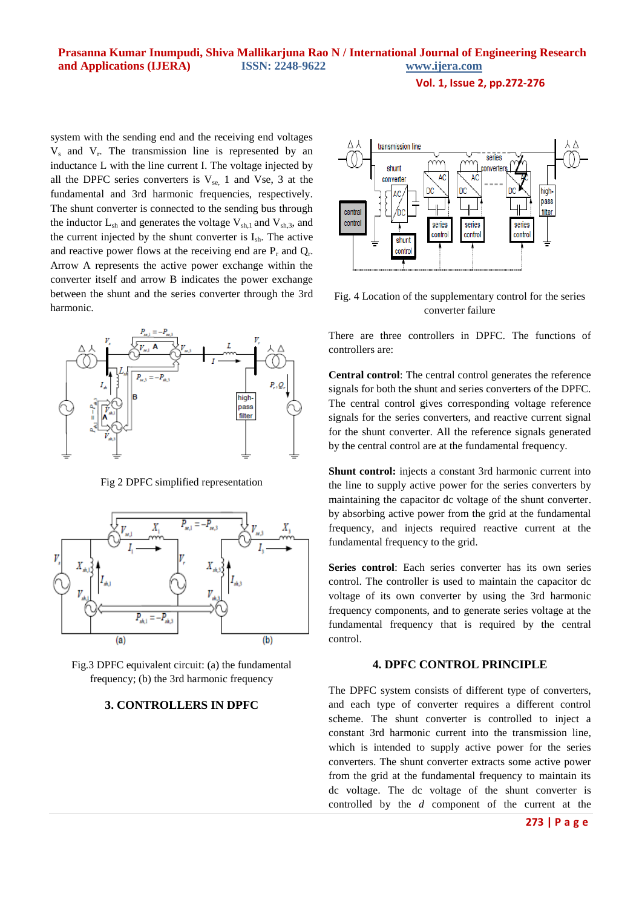**Prasanna Kumar Inumpudi, Shiva Mallikarjuna Rao N / International Journal of Engineering Research and Applications (IJERA) ISSN: 2248-9622 www.ijera.com** 

**Vol. 1, Issue 2, pp.272-276**

system with the sending end and the receiving end voltages  $V_s$  and  $V_r$ . The transmission line is represented by an inductance L with the line current I. The voltage injected by all the DPFC series converters is  $V_{se}$ , 1 and Vse, 3 at the fundamental and 3rd harmonic frequencies, respectively. The shunt converter is connected to the sending bus through the inductor  $L_{sh}$  and generates the voltage  $V_{sh,1}$  and  $V_{sh,3}$ , and the current injected by the shunt converter is  $I_{sh}$ . The active and reactive power flows at the receiving end are  $P_r$  and  $Q_r$ . Arrow A represents the active power exchange within the converter itself and arrow B indicates the power exchange between the shunt and the series converter through the 3rd harmonic.



Fig 2 DPFC simplified representation



Fig.3 DPFC equivalent circuit: (a) the fundamental frequency; (b) the 3rd harmonic frequency

## **3. CONTROLLERS IN DPFC**



Fig. 4 Location of the supplementary control for the series converter failure

There are three controllers in DPFC. The functions of controllers are:

**Central control**: The central control generates the reference signals for both the shunt and series converters of the DPFC. The central control gives corresponding voltage reference signals for the series converters, and reactive current signal for the shunt converter. All the reference signals generated by the central control are at the fundamental frequency.

**Shunt control:** injects a constant 3rd harmonic current into the line to supply active power for the series converters by maintaining the capacitor dc voltage of the shunt converter. by absorbing active power from the grid at the fundamental frequency, and injects required reactive current at the fundamental frequency to the grid.

**Series control**: Each series converter has its own series control. The controller is used to maintain the capacitor dc voltage of its own converter by using the 3rd harmonic frequency components, and to generate series voltage at the fundamental frequency that is required by the central control.

## **4. DPFC CONTROL PRINCIPLE**

The DPFC system consists of different type of converters, and each type of converter requires a different control scheme. The shunt converter is controlled to inject a constant 3rd harmonic current into the transmission line, which is intended to supply active power for the series converters. The shunt converter extracts some active power from the grid at the fundamental frequency to maintain its dc voltage. The dc voltage of the shunt converter is controlled by the *d* component of the current at the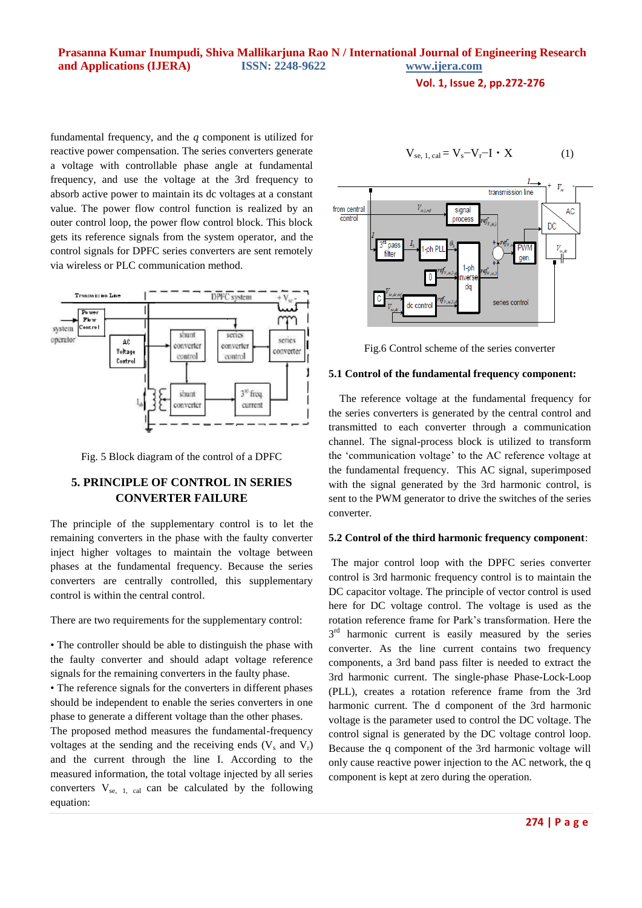**Vol. 1, Issue 2, pp.272-276**

fundamental frequency, and the *q* component is utilized for reactive power compensation. The series converters generate a voltage with controllable phase angle at fundamental frequency, and use the voltage at the 3rd frequency to absorb active power to maintain its dc voltages at a constant value. The power flow control function is realized by an outer control loop, the power flow control block. This block gets its reference signals from the system operator, and the control signals for DPFC series converters are sent remotely via wireless or PLC communication method.



Fig. 5 Block diagram of the control of a DPFC

# **5. PRINCIPLE OF CONTROL IN SERIES CONVERTER FAILURE**

The principle of the supplementary control is to let the remaining converters in the phase with the faulty converter inject higher voltages to maintain the voltage between phases at the fundamental frequency. Because the series converters are centrally controlled, this supplementary control is within the central control.

There are two requirements for the supplementary control:

• The controller should be able to distinguish the phase with the faulty converter and should adapt voltage reference signals for the remaining converters in the faulty phase.

• The reference signals for the converters in different phases should be independent to enable the series converters in one phase to generate a different voltage than the other phases.

The proposed method measures the fundamental-frequency voltages at the sending and the receiving ends  $(V_s \text{ and } V_r)$ and the current through the line I. According to the measured information, the total voltage injected by all series converters  $V_{se, 1, cal}$  can be calculated by the following equation:

$$
V_{se, 1, cal} = V_s - V_r - I \cdot X \tag{1}
$$



Fig.6 Control scheme of the series converter

#### **5.1 Control of the fundamental frequency component:**

The reference voltage at the fundamental frequency for the series converters is generated by the central control and transmitted to each converter through a communication channel. The signal-process block is utilized to transform the 'communication voltage' to the AC reference voltage at the fundamental frequency. This AC signal, superimposed with the signal generated by the 3rd harmonic control, is sent to the PWM generator to drive the switches of the series converter.

#### **5.2 Control of the third harmonic frequency component**:

The major control loop with the DPFC series converter control is 3rd harmonic frequency control is to maintain the DC capacitor voltage. The principle of vector control is used here for DC voltage control. The voltage is used as the rotation reference frame for Park's transformation. Here the 3<sup>rd</sup> harmonic current is easily measured by the series converter. As the line current contains two frequency components, a 3rd band pass filter is needed to extract the 3rd harmonic current. The single-phase Phase-Lock-Loop (PLL), creates a rotation reference frame from the 3rd harmonic current. The d component of the 3rd harmonic voltage is the parameter used to control the DC voltage. The control signal is generated by the DC voltage control loop. Because the q component of the 3rd harmonic voltage will only cause reactive power injection to the AC network, the q component is kept at zero during the operation.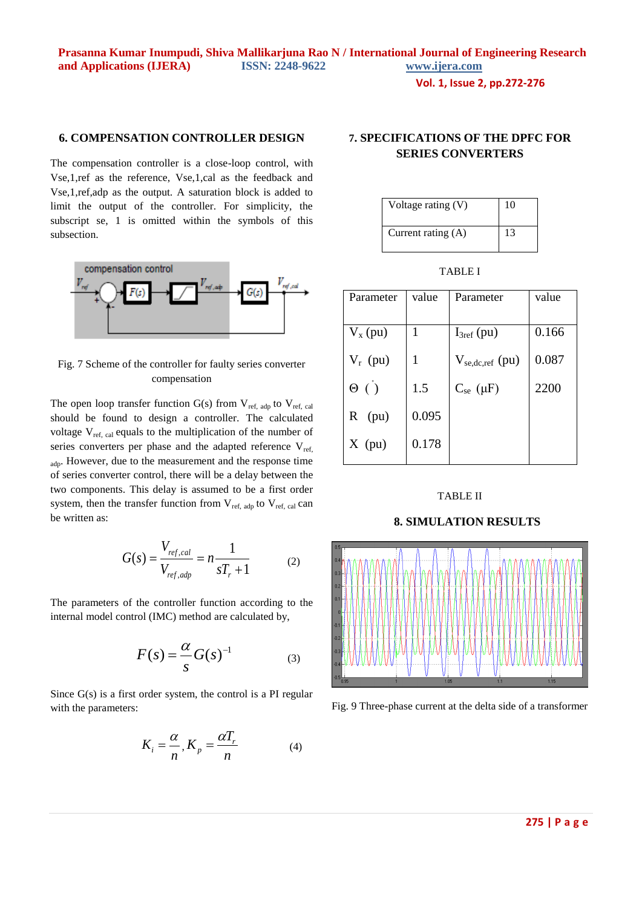# **6. COMPENSATION CONTROLLER DESIGN**

The compensation controller is a close-loop control, with Vse,1,ref as the reference, Vse,1,cal as the feedback and Vse,1,ref,adp as the output. A saturation block is added to limit the output of the controller. For simplicity, the subscript se, 1 is omitted within the symbols of this subsection.



Fig. 7 Scheme of the controller for faulty series converter compensation

The open loop transfer function  $G(s)$  from  $V_{ref, adp}$  to  $V_{ref, cal}$ should be found to design a controller. The calculated voltage  $V_{ref, cal}$  equals to the multiplication of the number of series converters per phase and the adapted reference  $V_{ref}$ adp. However, due to the measurement and the response time of series converter control, there will be a delay between the two components. This delay is assumed to be a first order system, then the transfer function from  $V_{ref. adp}$  to  $V_{ref. cal}$  can be written as:

$$
G(s) = \frac{V_{ref,cal}}{V_{ref,adp}} = n \frac{1}{sT_r + 1}
$$
 (2)

The parameters of the controller function according to the internal model control (IMC) method are calculated by,

$$
F(s) = \frac{\alpha}{s} G(s)^{-1}
$$
 (3)

Since G(s) is a first order system, the control is a PI regular with the parameters:

$$
K_i = \frac{\alpha}{n}, K_p = \frac{\alpha T_r}{n}
$$
 (4)

# **7. SPECIFICATIONS OF THE DPFC FOR SERIES CONVERTERS**

| Voltage rating (V)   | 10 |
|----------------------|----|
| Current rating $(A)$ | 13 |

TABLE I

| Parameter    | value | Parameter            | value |
|--------------|-------|----------------------|-------|
|              |       |                      |       |
| $V_{x}$ (pu) |       | $I_{3ref}(pu)$       | 0.166 |
| $V_r$ (pu)   |       | $V_{se,dc,ref}$ (pu) | 0.087 |
| $\Theta$ ( ) | 1.5   | $C_{se}(\mu F)$      | 2200  |
| (pu)<br>R    | 0.095 |                      |       |
| $X$ (pu)     | 0.178 |                      |       |

## TABLE II

## **8. SIMULATION RESULTS**



Fig. 9 Three-phase current at the delta side of a transformer